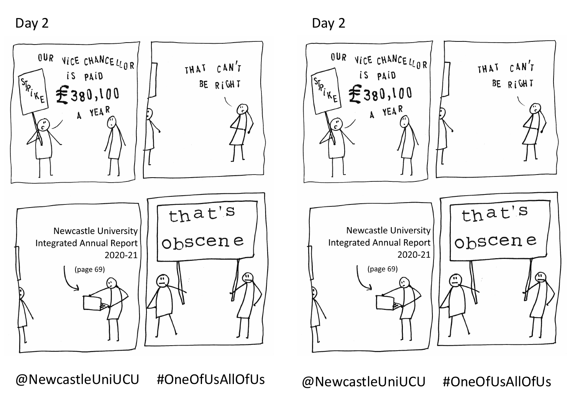



Day 2 Day 2